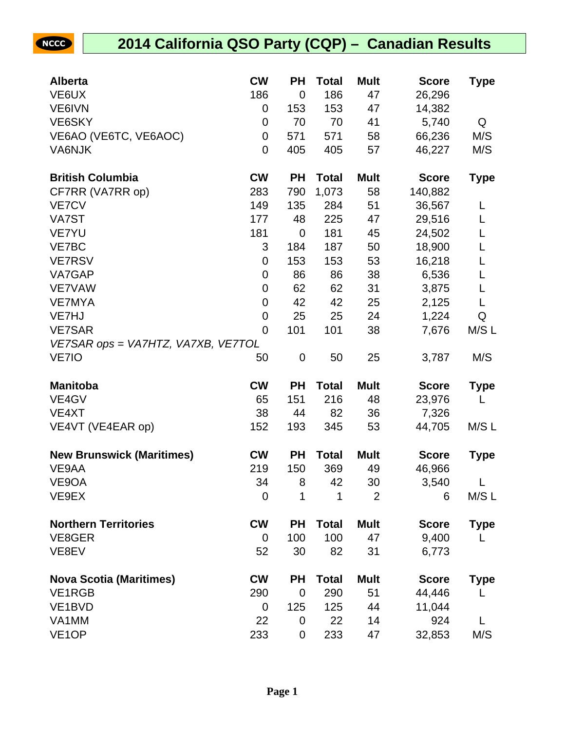## **2014 California QSO Party (CQP) – Canadian Results**

NCCC

| <b>Alberta</b>                     | <b>CW</b>      | <b>PH</b>   | <b>Total</b> | <b>Mult</b>    | <b>Score</b> | Type        |
|------------------------------------|----------------|-------------|--------------|----------------|--------------|-------------|
| VE6UX                              | 186            | 0           | 186          | 47             | 26,296       |             |
| VE6IVN                             | 0              | 153         | 153          | 47             | 14,382       |             |
| VE6SKY                             | 0              | 70          | 70           | 41             | 5,740        | Q           |
| VE6AO (VE6TC, VE6AOC)              | 0              | 571         | 571          | 58             | 66,236       | M/S         |
| VA6NJK                             | $\mathbf 0$    | 405         | 405          | 57             | 46,227       | M/S         |
| <b>British Columbia</b>            | <b>CW</b>      | <b>PH</b>   | <b>Total</b> | <b>Mult</b>    | <b>Score</b> | <b>Type</b> |
| CF7RR (VA7RR op)                   | 283            | 790         | 1,073        | 58             | 140,882      |             |
| VE7CV                              | 149            | 135         | 284          | 51             | 36,567       | L           |
| VA7ST                              | 177            | 48          | 225          | 47             | 29,516       | L           |
| <b>VE7YU</b>                       | 181            | 0           | 181          | 45             | 24,502       |             |
| VE7BC                              | 3              | 184         | 187          | 50             | 18,900       | L           |
| <b>VE7RSV</b>                      | 0              | 153         | 153          | 53             | 16,218       |             |
| VA7GAP                             | 0              | 86          | 86           | 38             | 6,536        |             |
| <b>VE7VAW</b>                      | 0              | 62          | 62           | 31             | 3,875        |             |
| <b>VE7MYA</b>                      | $\mathbf 0$    | 42          | 42           | 25             | 2,125        | L           |
| VE7HJ                              | $\mathbf 0$    | 25          | 25           | 24             | 1,224        | Q           |
| <b>VE7SAR</b>                      | $\overline{0}$ | 101         | 101          | 38             | 7,676        | M/S L       |
| VE7SAR ops = VA7HTZ, VA7XB, VE7TOL |                |             |              |                |              |             |
| VE7IO                              | 50             | 0           | 50           | 25             | 3,787        | M/S         |
| <b>Manitoba</b>                    | <b>CW</b>      | <b>PH</b>   | <b>Total</b> | <b>Mult</b>    | <b>Score</b> | <b>Type</b> |
| VE4GV                              | 65             | 151         | 216          | 48             | 23,976       |             |
| VE4XT                              | 38             | 44          | 82           | 36             | 7,326        |             |
| VE4VT (VE4EAR op)                  | 152            | 193         | 345          | 53             | 44,705       | M/SL        |
| <b>New Brunswick (Maritimes)</b>   | <b>CW</b>      | <b>PH</b>   | <b>Total</b> | <b>Mult</b>    | <b>Score</b> | <b>Type</b> |
| VE9AA                              | 219            | 150         | 369          | 49             | 46,966       |             |
| VE9OA                              | 34             | 8           | 42           | 30             | 3,540        | L           |
| VE9EX                              | $\mathbf 0$    | 1           | 1            | $\overline{2}$ | 6            | M/S L       |
| <b>Northern Territories</b>        | <b>CW</b>      | <b>PH</b>   | <b>Total</b> | <b>Mult</b>    | <b>Score</b> | <b>Type</b> |
| VE8GER                             | 0              | 100         | 100          | 47             | 9,400        |             |
| VE8EV                              | 52             | 30          | 82           | 31             | 6,773        |             |
| <b>Nova Scotia (Maritimes)</b>     | <b>CW</b>      | <b>PH</b>   | <b>Total</b> | <b>Mult</b>    | <b>Score</b> | <b>Type</b> |
| VE1RGB                             | 290            | $\mathbf 0$ | 290          | 51             | 44,446       |             |
| VE1BVD                             | 0              | 125         | 125          | 44             | 11,044       |             |
| VA1MM                              | 22             | 0           | 22           | 14             | 924          |             |
| VE <sub>1</sub> OP                 | 233            | 0           | 233          | 47             | 32,853       | M/S         |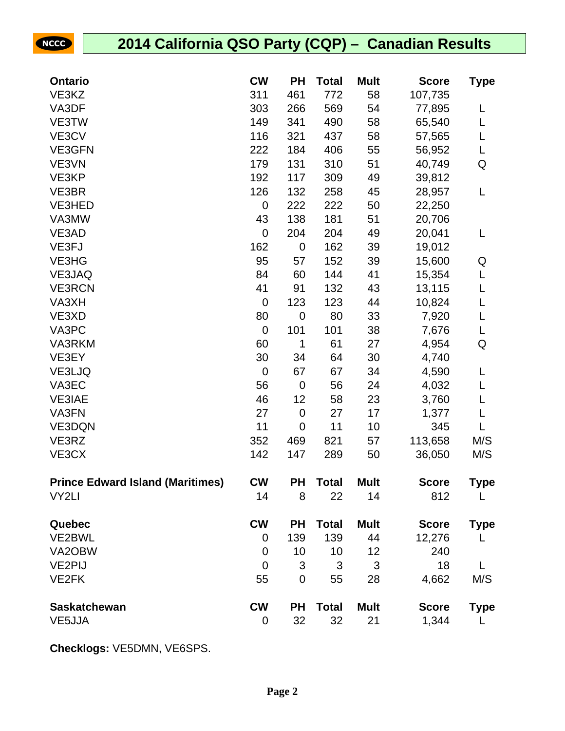| <b>NCCC</b>         | 2014 California QSO Party (CQP) - Canadian Results |                |             |              |             |              |              |
|---------------------|----------------------------------------------------|----------------|-------------|--------------|-------------|--------------|--------------|
|                     |                                                    |                |             |              |             |              |              |
| <b>Ontario</b>      |                                                    | <b>CW</b>      | <b>PH</b>   | <b>Total</b> | <b>Mult</b> | <b>Score</b> | <b>Type</b>  |
| VE3KZ               |                                                    | 311            | 461         | 772          | 58          | 107,735      |              |
| VA3DF               |                                                    | 303            | 266         | 569          | 54          | 77,895       | L            |
| VE3TW               |                                                    | 149            | 341         | 490          | 58          | 65,540       | L            |
| VE3CV               |                                                    | 116            | 321         | 437          | 58          | 57,565       | L            |
| VE3GFN              |                                                    | 222            | 184         | 406          | 55          | 56,952       | L            |
| VE3VN               |                                                    | 179            | 131         | 310          | 51          | 40,749       | Q            |
| VE3KP               |                                                    | 192            | 117         | 309          | 49          | 39,812       |              |
| VE3BR               |                                                    | 126            | 132         | 258          | 45          | 28,957       | L            |
| VE3HED              |                                                    | 0              | 222         | 222          | 50          | 22,250       |              |
| VA3MW               |                                                    | 43             | 138         | 181          | 51          | 20,706       |              |
| VE3AD               |                                                    | $\mathbf 0$    | 204         | 204          | 49          | 20,041       | L            |
| VE3FJ               |                                                    | 162            | $\mathbf 0$ | 162          | 39          | 19,012       |              |
| VE3HG               |                                                    | 95             | 57          | 152          | 39          | 15,600       | Q            |
| VE3JAQ              |                                                    | 84             | 60          | 144          | 41          | 15,354       | L            |
| <b>VE3RCN</b>       |                                                    | 41             | 91          | 132          | 43          | 13,115       | L            |
| VA3XH               |                                                    | $\mathbf 0$    | 123         | 123          | 44          | 10,824       | L            |
| VE3XD               |                                                    | 80             | $\mathbf 0$ | 80           | 33          | 7,920        | L            |
| VA3PC               |                                                    | $\overline{0}$ | 101         | 101          | 38          | 7,676        | L            |
| VA3RKM              |                                                    | 60             | 1           | 61           | 27          | 4,954        | Q            |
| VE3EY               |                                                    | 30             | 34          | 64           | 30          | 4,740        |              |
| VE3LJQ              |                                                    | $\overline{0}$ | 67          | 67           | 34          | 4,590        | L            |
| VA3EC               |                                                    | 56             | $\mathbf 0$ | 56           | 24          | 4,032        | L            |
| <b>VE3IAE</b>       |                                                    | 46             | 12          | 58           | 23          | 3,760        | L            |
| VA3FN               |                                                    | 27             | $\mathbf 0$ | 27           | 17          | 1,377        | L            |
| VE3DQN              |                                                    | 11             | $\mathbf 0$ | 11           | 10          | 345          | L            |
| VE3RZ               |                                                    | 352            | 469         | 821          | 57          | 113,658      | M/S          |
| VE3CX               |                                                    | 142            | 147         | 289          | 50          | 36,050       | M/S          |
|                     | <b>Prince Edward Island (Maritimes)</b>            | <b>CW</b>      | <b>PH</b>   | <b>Total</b> | <b>Mult</b> | <b>Score</b> | <b>Type</b>  |
| VY2LI               |                                                    | 14             | 8           | 22           | 14          | 812          | L            |
| Quebec              |                                                    | <b>CW</b>      | <b>PH</b>   | <b>Total</b> | <b>Mult</b> | <b>Score</b> | <b>Type</b>  |
| VE2BWL              |                                                    | 0              | 139         | 139          | 44          | 12,276       | L            |
| VA2OBW              |                                                    | $\mathbf 0$    | 10          | 10           | 12          | 240          |              |
| <b>VE2PIJ</b>       |                                                    | $\overline{0}$ | 3           | 3            | 3           | 18           | $\mathsf{L}$ |
| VE2FK               |                                                    | 55             | $\mathbf 0$ | 55           | 28          | 4,662        | M/S          |
| <b>Saskatchewan</b> |                                                    | <b>CW</b>      | <b>PH</b>   | <b>Total</b> | <b>Mult</b> | <b>Score</b> | <b>Type</b>  |
| VE5JJA              |                                                    | 0              | 32          | 32           | 21          | 1,344        | L            |

**Checklogs:** VE5DMN, VE6SPS.